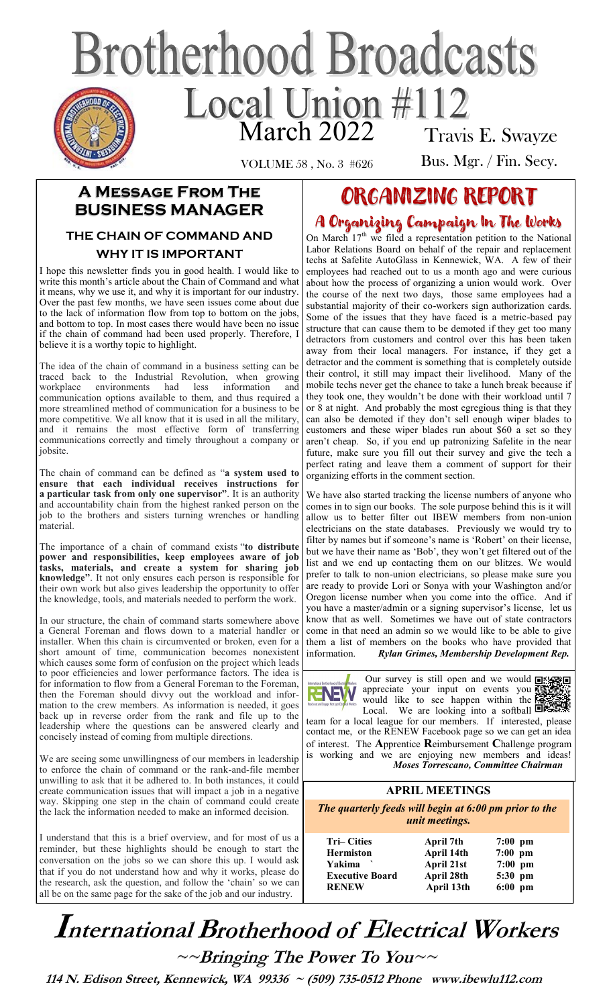# **Brotherhood Broadcasts** Local Union #112 Travis E. Swayze

VOLUME 58 , No. 3 #626

Bus. Mgr. / Fin. Secy.

## **A Message From The BUSINESS MANAGER**

#### **THE CHAIN OF COMMAND AND WHY IT IS IMPORTANT**

I hope this newsletter finds you in good health. I would like to write this month's article about the Chain of Command and what it means, why we use it, and why it is important for our industry. Over the past few months, we have seen issues come about due to the lack of information flow from top to bottom on the jobs, and bottom to top. In most cases there would have been no issue if the chain of command had been used properly. Therefore, I believe it is a worthy topic to highlight.

The idea of the chain of command in a business setting can be traced back to the Industrial Revolution, when growing workplace environments had less information and communication options available to them, and thus required a more streamlined method of communication for a business to be more competitive. We all know that it is used in all the military, and it remains the most effective form of transferring communications correctly and timely throughout a company or jobsite.

The chain of command can be defined as "**a system used to ensure that each individual receives instructions for a particular task from only one supervisor"**. It is an authority and accountability chain from the highest ranked person on the job to the brothers and sisters turning wrenches or handling material.

The importance of a chain of command exists "**to distribute power and responsibilities, keep employees aware of job tasks, materials, and create a system for sharing job knowledge"**. It not only ensures each person is responsible for their own work but also gives leadership the opportunity to offer the knowledge, tools, and materials needed to perform the work.

In our structure, the chain of command starts somewhere above a General Foreman and flows down to a material handler or installer. When this chain is circumvented or broken, even for a short amount of time, communication becomes nonexistent which causes some form of confusion on the project which leads to poor efficiencies and lower performance factors. The idea is for information to flow from a General Foreman to the Foreman, then the Foreman should divvy out the workload and information to the crew members. As information is needed, it goes back up in reverse order from the rank and file up to the leadership where the questions can be answered clearly and concisely instead of coming from multiple directions.

We are seeing some unwillingness of our members in leadership to enforce the chain of command or the rank-and-file member unwilling to ask that it be adhered to. In both instances, it could create communication issues that will impact a job in a negative way. Skipping one step in the chain of command could create the lack the information needed to make an informed decision.

I understand that this is a brief overview, and for most of us a reminder, but these highlights should be enough to start the conversation on the jobs so we can shore this up. I would ask that if you do not understand how and why it works, please do the research, ask the question, and follow the 'chain' so we can all be on the same page for the sake of the job and our industry.

## ORGANIZING REPORT

## A Organizing Campaign In The Works

On March 17<sup>th</sup> we filed a representation petition to the National Labor Relations Board on behalf of the repair and replacement techs at Safelite AutoGlass in Kennewick, WA. A few of their employees had reached out to us a month ago and were curious about how the process of organizing a union would work. Over the course of the next two days, those same employees had a substantial majority of their co-workers sign authorization cards. Some of the issues that they have faced is a metric-based pay structure that can cause them to be demoted if they get too many detractors from customers and control over this has been taken away from their local managers. For instance, if they get a detractor and the comment is something that is completely outside their control, it still may impact their livelihood. Many of the mobile techs never get the chance to take a lunch break because if they took one, they wouldn't be done with their workload until 7 or 8 at night. And probably the most egregious thing is that they can also be demoted if they don't sell enough wiper blades to customers and these wiper blades run about \$60 a set so they aren't cheap. So, if you end up patronizing Safelite in the near future, make sure you fill out their survey and give the tech a perfect rating and leave them a comment of support for their organizing efforts in the comment section.

We have also started tracking the license numbers of anyone who comes in to sign our books. The sole purpose behind this is it will allow us to better filter out IBEW members from non-union electricians on the state databases. Previously we would try to filter by names but if someone's name is 'Robert' on their license, but we have their name as 'Bob', they won't get filtered out of the list and we end up contacting them on our blitzes. We would prefer to talk to non-union electricians, so please make sure you are ready to provide Lori or Sonya with your Washington and/or Oregon license number when you come into the office. And if you have a master/admin or a signing supervisor's license, let us know that as well. Sometimes we have out of state contractors come in that need an admin so we would like to be able to give them a list of members on the books who have provided that information. *Rylan Grimes, Membership Development Rep.* 



Our survey is still open and we would  $\lim_{x\to 0}$ appreciate your input on events you would like to see happen within the Local. We are looking into a softball  $\Box$ 

team for a local league for our members. If interested, please contact me, or the RENEW Facebook page so we can get an idea of interest. The **A**pprentice **R**eimbursement **C**hallenge program is working and we are enjoying new members and ideas! *Moses Torrescano, Committee Chairman* 

## **APRIL MEETINGS**

*The quarterly feeds will begin at 6:00 pm prior to the unit meetings.* 

| <b>Tri–Cities</b>      |
|------------------------|
| <b>Hermiston</b>       |
| Yakima                 |
| <b>Executive Board</b> |
| <b>RENEW</b>           |

**April 7th April 14th April 21st April 28th April 13th** 

|   | $7:00$ pm |  |
|---|-----------|--|
| ı | $7:00$ pm |  |
|   | $7:00$ pm |  |
| ı | 5:30 pm   |  |
| h | $6:00$ pm |  |
|   |           |  |

International Brotherhood of Electrical Workers  $\sim$ -Bringing The Power To You

 **114 N. Edison Street, Kennewick, WA 99336 ~ (509) 735-0512 Phone www.ibewlu112.com**